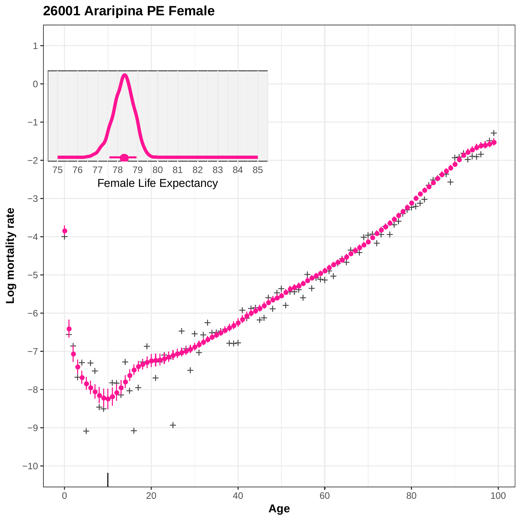

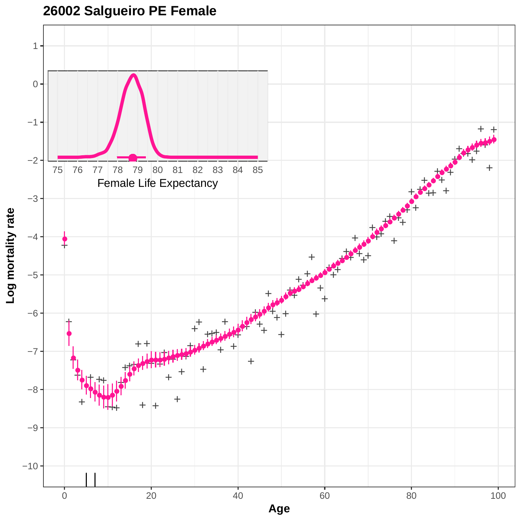

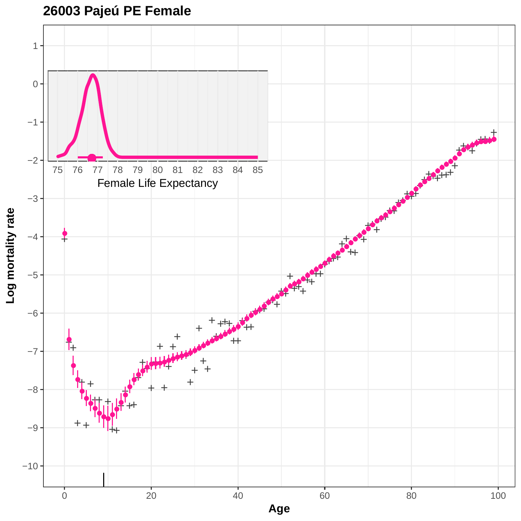# **26003 Pajeú PE Female**

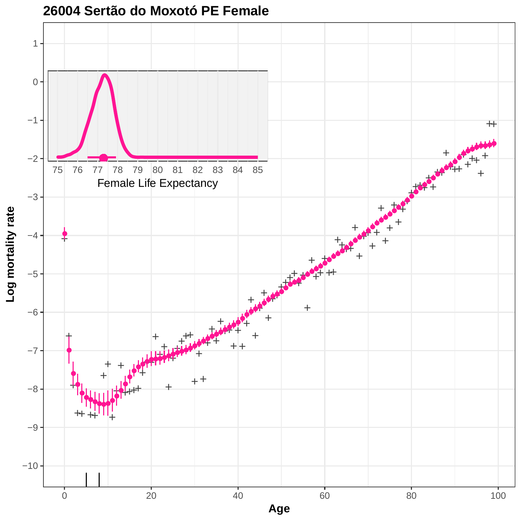

**26004 Sertão do Moxotó PE Female**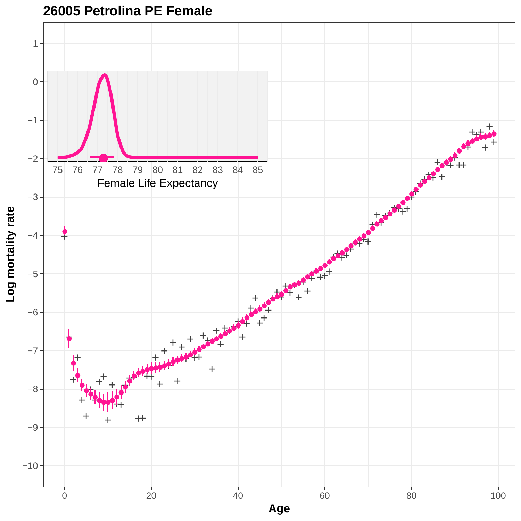

**26005 Petrolina PE Female**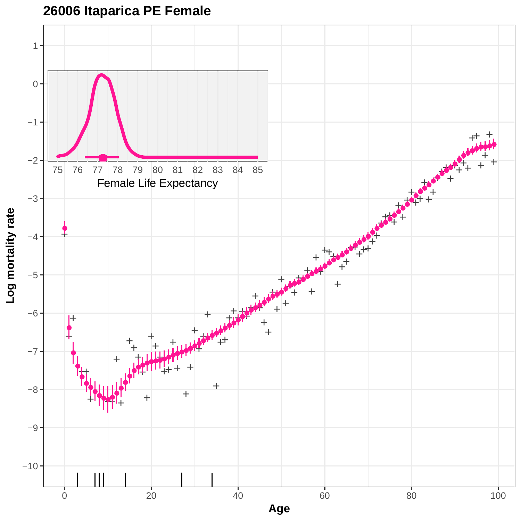**26006 Itaparica PE Female**

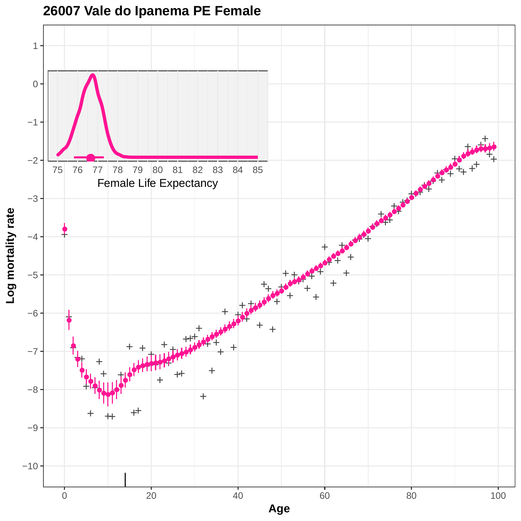

**26007 Vale do Ipanema PE Female**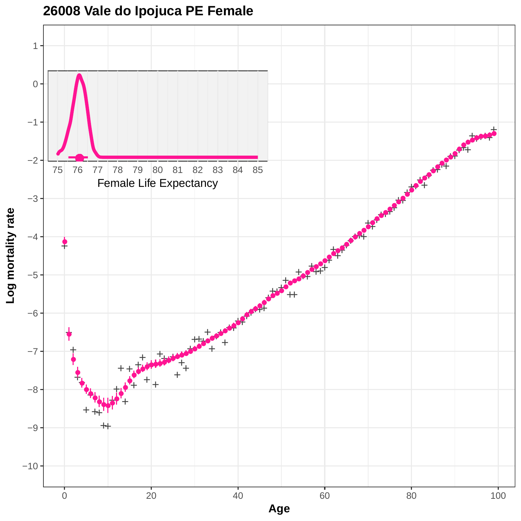

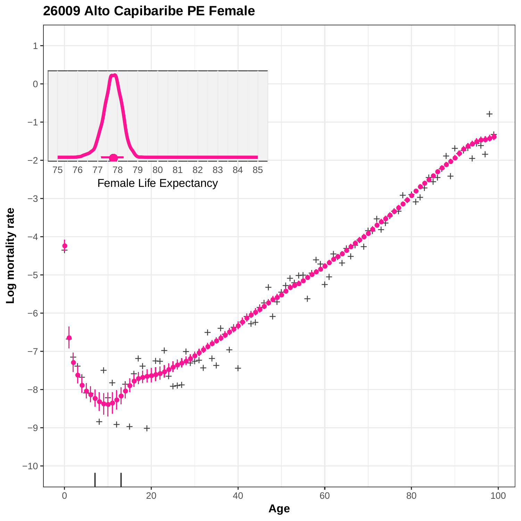

## **26009 Alto Capibaribe PE Female**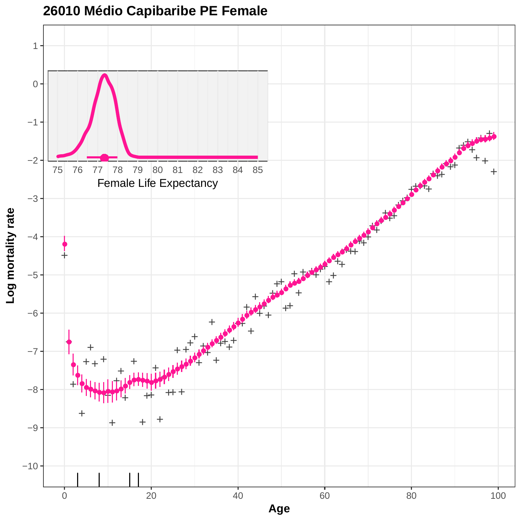

**26010 Médio Capibaribe PE Female**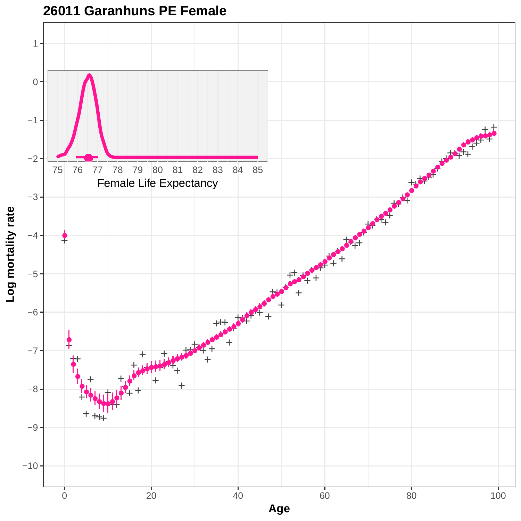

### **26011 Garanhuns PE Female**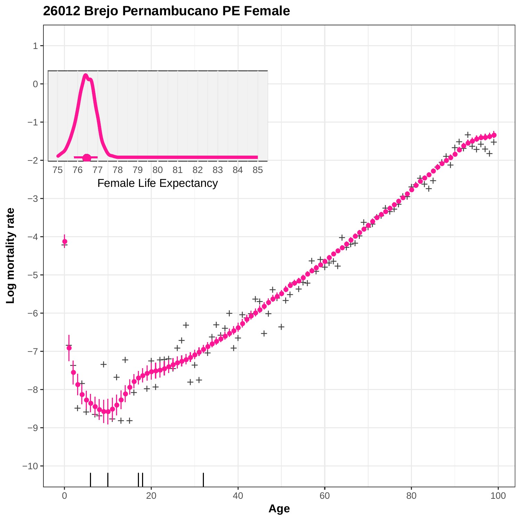

### **26012 Brejo Pernambucano PE Female**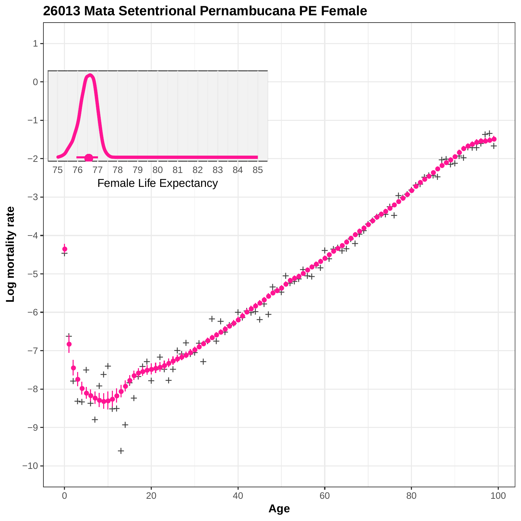

**26013 Mata Setentrional Pernambucana PE Female**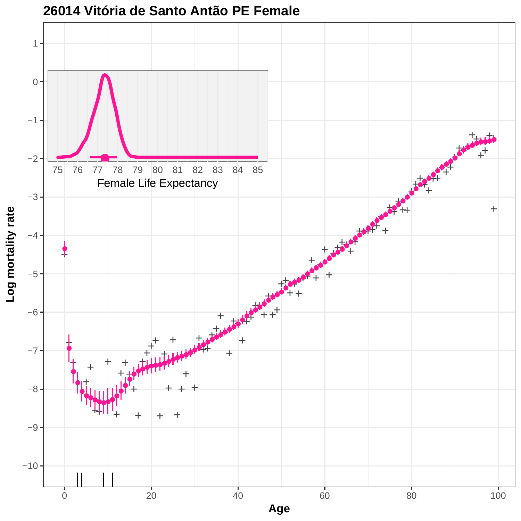

**26014 Vitória de Santo Antão PE Female**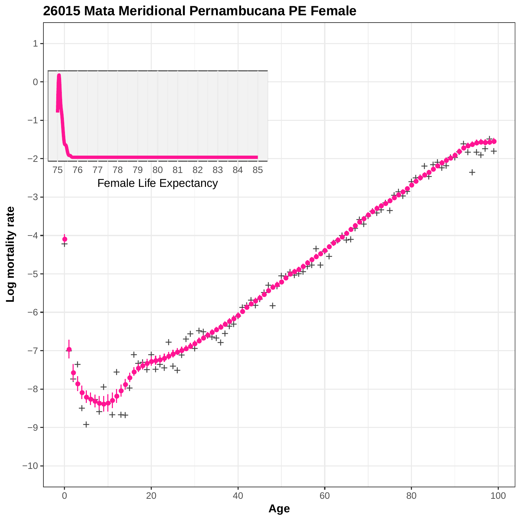

**26015 Mata Meridional Pernambucana PE Female**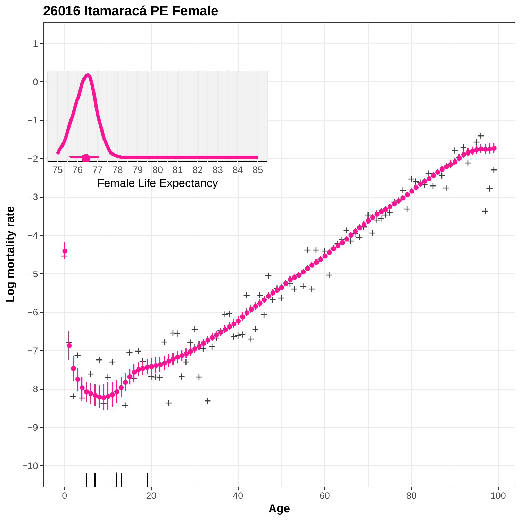

**26016 Itamaracá PE Female**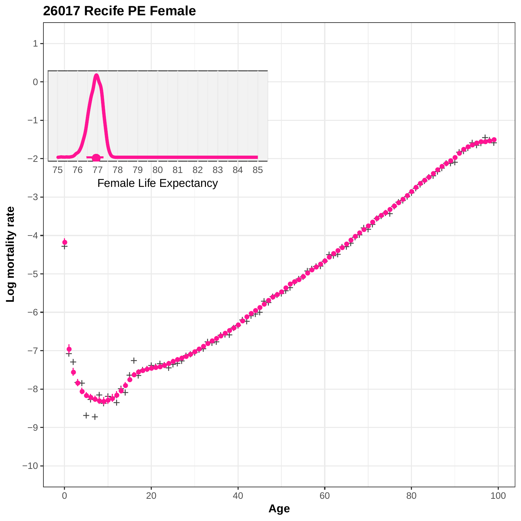

**26017 Recife PE Female**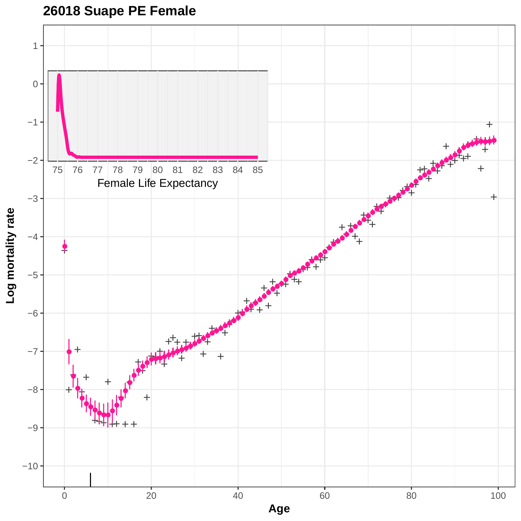## **26018 Suape PE Female**